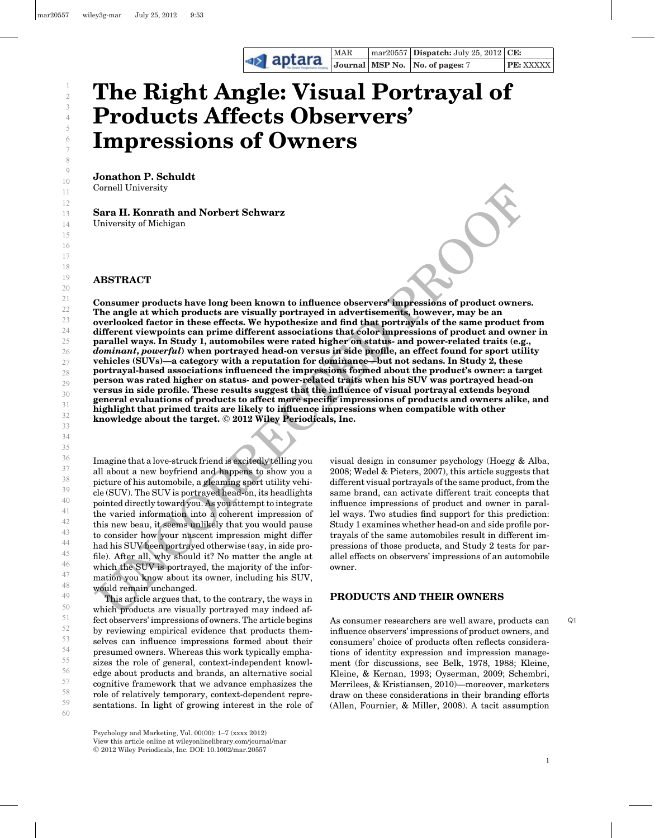**also** aptara

# **The Right Angle: Visual Portrayal of Products Affects Observers' Impressions of Owners**

**Jonathon P. Schuldt** Cornell University

#### **Sara H. Konrath and Norbert Schwarz** University of Michigan

#### **ABSTRACT**

Cornell University<br>
MaSTRACT<br>
Shara H. Konrath and Norbert Schwarz<br>
This craige of Michigan<br>
Chieratics are being been known to influence observers impressions of product owner<br>
Chieratics are the map is a corrected with **Consumer products have long been known to influence observers' impressions of product owners. The angle at which products are visually portrayed in advertisements, however, may be an overlooked factor in these effects. We hypothesize and find that portrayals of the same product from different viewpoints can prime different associations that color impressions of product and owner in parallel ways. In Study 1, automobiles were rated higher on status- and power-related traits (e.g.,** *dominant***,** *powerful***) when portrayed head-on versus in side profile, an effect found for sport utility vehicles (SUVs)—a category with a reputation for dominance—but not sedans. In Study 2, these portrayal-based associations influenced the impressions formed about the product's owner: a target person was rated higher on status- and power-related traits when his SUV was portrayed head-on versus in side profile. These results suggest that the influence of visual portrayal extends beyond general evaluations of products to affect more specific impressions of products and owners alike, and highlight that primed traits are likely to influence impressions when compatible with other** knowledge about the target. © 2012 Wiley Periodicals, Inc.

Imagine that a love-struck friend is excitedly telling you all about a new boyfriend and happens to show you a picture of his automobile, a gleaming sport utility vehicle (SUV). The SUV is portrayed head-on, its headlights pointed directly toward you. As you attempt to integrate the varied information into a coherent impression of this new beau, it seems unlikely that you would pause to consider how your nascent impression might differ had his SUV been portrayed otherwise (say, in side profile). After all, why should it? No matter the angle at which the SUV is portrayed, the majority of the information you know about its owner, including his SUV, would remain unchanged.

This article argues that, to the contrary, the ways in which products are visually portrayed may indeed affect observers' impressions of owners. The article begins by reviewing empirical evidence that products themselves can influence impressions formed about their presumed owners. Whereas this work typically emphasizes the role of general, context-independent knowledge about products and brands, an alternative social cognitive framework that we advance emphasizes the role of relatively temporary, context-dependent representations. In light of growing interest in the role of

Psychology and Marketing, Vol. 00(00): 1–7 (xxxx 2012) View this article online at wileyonlinelibrary.com/journal/mar -<sup>C</sup> 2012 Wiley Periodicals, Inc. DOI: 10.1002/mar.20557

visual design in consumer psychology (Hoegg & Alba, 2008; Wedel & Pieters, 2007), this article suggests that different visual portrayals of the same product, from the same brand, can activate different trait concepts that influence impressions of product and owner in parallel ways. Two studies find support for this prediction: Study 1 examines whether head-on and side profile portrayals of the same automobiles result in different impressions of those products, and Study 2 tests for parallel effects on observers' impressions of an automobile owner.

#### **PRODUCTS AND THEIR OWNERS**

As consumer researchers are well aware, products can Q1 influence observers' impressions of product owners, and consumers' choice of products often reflects considerations of identity expression and impression management (for discussions, see Belk, 1978, 1988; Kleine, Kleine, & Kernan, 1993; Oyserman, 2009; Schembri, Merrilees, & Kristiansen, 2010)—moreover, marketers draw on these considerations in their branding efforts (Allen, Fournier, & Miller, 2008). A tacit assumption

1

1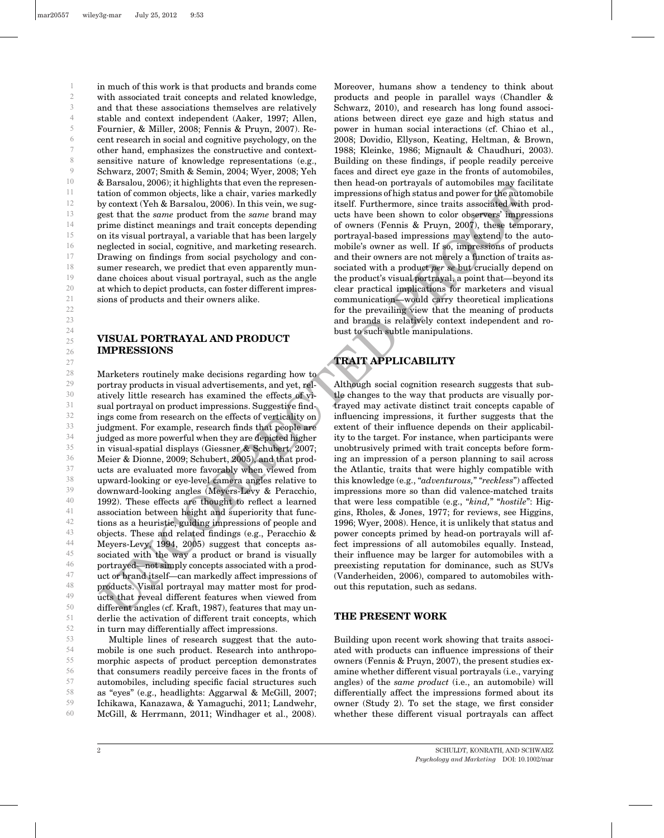1 2 3 4 5 6 7 8 9 10 11 12 13 14 15 16 17 18 19 20 21 in much of this work is that products and brands come with associated trait concepts and related knowledge, and that these associations themselves are relatively stable and context independent (Aaker, 1997; Allen, Fournier, & Miller, 2008; Fennis & Pruyn, 2007). Recent research in social and cognitive psychology, on the other hand, emphasizes the constructive and contextsensitive nature of knowledge representations (e.g., Schwarz, 2007; Smith & Semin, 2004; Wyer, 2008; Yeh & Barsalou, 2006); it highlights that even the representation of common objects, like a chair, varies markedly by context (Yeh & Barsalou, 2006). In this vein, we suggest that the *same* product from the *same* brand may prime distinct meanings and trait concepts depending on its visual portrayal, a variable that has been largely neglected in social, cognitive, and marketing research. Drawing on findings from social psychology and consumer research, we predict that even apparently mundane choices about visual portrayal, such as the angle at which to depict products, can foster different impressions of products and their owners alike.

## **VISUAL PORTRAYAL AND PRODUCT IMPRESSIONS**

27 28 29 30 31 32 33 34 35 36 37 38 39 40 41 42 43 44 45 46 47 48 49 50 51 52 interimental interimental control interimental control interimental control interimental control interimental interimental interimental interimental interimental interimental interimental interimental interimental interim Marketers routinely make decisions regarding how to portray products in visual advertisements, and yet, relatively little research has examined the effects of visual portrayal on product impressions. Suggestive findings come from research on the effects of verticality on judgment. For example, research finds that people are judged as more powerful when they are depicted higher in visual-spatial displays (Giessner & Schubert, 2007; Meier & Dionne, 2009; Schubert, 2005), and that products are evaluated more favorably when viewed from upward-looking or eye-level camera angles relative to downward-looking angles (Meyers-Levy & Peracchio, 1992). These effects are thought to reflect a learned association between height and superiority that functions as a heuristic, guiding impressions of people and objects. These and related findings (e.g., Peracchio & Meyers-Levy, 1994, 2005) suggest that concepts associated with the way a product or brand is visually portrayed—not simply concepts associated with a product or brand itself—can markedly affect impressions of products. Visual portrayal may matter most for products that reveal different features when viewed from different angles (cf. Kraft, 1987), features that may underlie the activation of different trait concepts, which in turn may differentially affect impressions.

53 54 55 56 57 58 59 60 Multiple lines of research suggest that the automobile is one such product. Research into anthropomorphic aspects of product perception demonstrates that consumers readily perceive faces in the fronts of automobiles, including specific facial structures such as "eyes" (e.g., headlights: Aggarwal & McGill, 2007; Ichikawa, Kanazawa, & Yamaguchi, 2011; Landwehr, McGill, & Herrmann, 2011; Windhager et al., 2008).

Moreover, humans show a tendency to think about products and people in parallel ways (Chandler & Schwarz, 2010), and research has long found associations between direct eye gaze and high status and power in human social interactions (cf. Chiao et al., 2008; Dovidio, Ellyson, Keating, Heltman, & Brown, 1988; Kleinke, 1986; Mignault & Chaudhuri, 2003). Building on these findings, if people readily perceive faces and direct eye gaze in the fronts of automobiles, then head-on portrayals of automobiles may facilitate impressions of high status and power for the automobile itself. Furthermore, since traits associated with products have been shown to color observers' impressions of owners (Fennis & Pruyn, 2007), these temporary, portrayal-based impressions may extend to the automobile's owner as well. If so, impressions of products and their owners are not merely a function of traits associated with a product *per se* but crucially depend on the product's visual portrayal, a point that—beyond its clear practical implications for marketers and visual communication—would carry theoretical implications for the prevailing view that the meaning of products and brands is relatively context independent and robust to such subtle manipulations.

# **TRAIT APPLICABILITY**

Although social cognition research suggests that subtle changes to the way that products are visually portrayed may activate distinct trait concepts capable of influencing impressions, it further suggests that the extent of their influence depends on their applicability to the target. For instance, when participants were unobtrusively primed with trait concepts before forming an impression of a person planning to sail across the Atlantic, traits that were highly compatible with this knowledge (e.g., "*adventurous,*" "*reckless*") affected impressions more so than did valence-matched traits that were less compatible (e.g., "*kind,*" "*hostile*": Higgins, Rholes, & Jones, 1977; for reviews, see Higgins, 1996; Wyer, 2008). Hence, it is unlikely that status and power concepts primed by head-on portrayals will affect impressions of all automobiles equally. Instead, their influence may be larger for automobiles with a preexisting reputation for dominance, such as SUVs (Vanderheiden, 2006), compared to automobiles without this reputation, such as sedans.

## **THE PRESENT WORK**

Building upon recent work showing that traits associated with products can influence impressions of their owners (Fennis & Pruyn, 2007), the present studies examine whether different visual portrayals (i.e., varying angles) of the *same product* (i.e., an automobile) will differentially affect the impressions formed about its owner (Study 2). To set the stage, we first consider whether these different visual portrayals can affect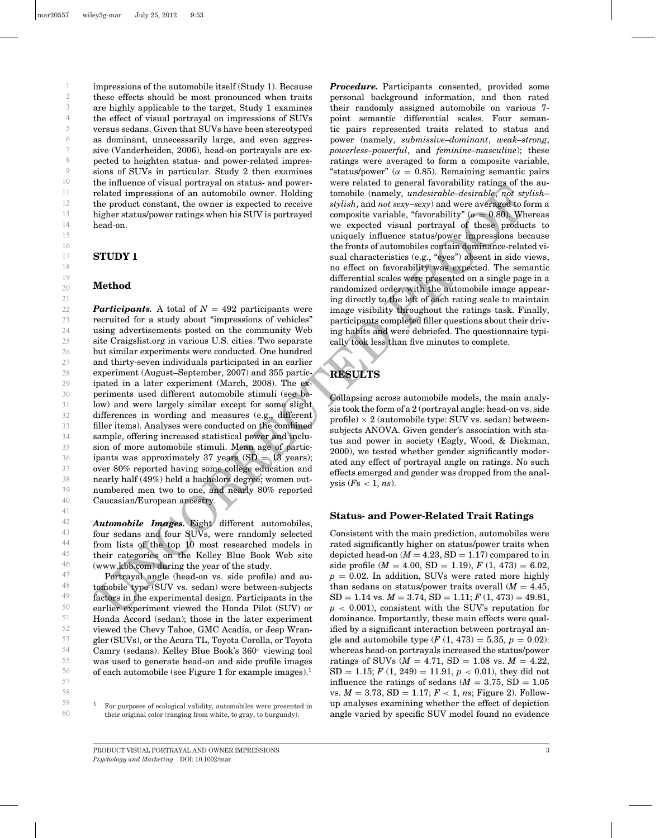impressions of the automobile itself (Study 1). Because these effects should be most pronounced when traits are highly applicable to the target, Study 1 examines the effect of visual portrayal on impressions of SUVs versus sedans. Given that SUVs have been stereotyped as dominant, unnecessarily large, and even aggressive (Vanderheiden, 2006), head-on portrayals are expected to heighten status- and power-related impressions of SUVs in particular. Study 2 then examines the influence of visual portrayal on status- and powerrelated impressions of an automobile owner. Holding the product constant, the owner is expected to receive higher status/power ratings when his SUV is portrayed head-on.

#### **STUDY 1**

### **Method**

22 23 24 25 26 27 28 29 30 31 32 33 34 35 36 37 38 39 40 neutron or stand pot notation and point in the second of the second of the second of the second of the second of the second of the second of the second of the second of the second of the second of the second of the second **Participants.** A total of  $N = 492$  participants were recruited for a study about "impressions of vehicles" using advertisements posted on the community Web site Craigslist.org in various U.S. cities. Two separate but similar experiments were conducted. One hundred and thirty-seven individuals participated in an earlier experiment (August–September, 2007) and 355 participated in a later experiment (March, 2008). The experiments used different automobile stimuli (see below) and were largely similar except for some slight differences in wording and measures (e.g., different filler items). Analyses were conducted on the combined sample, offering increased statistical power and inclusion of more automobile stimuli. Mean age of participants was approximately 37 years  $(SD = 13 \text{ years})$ ; over 80% reported having some college education and nearly half (49%) held a bachelors degree; women outnumbered men two to one, and nearly 80% reported Caucasian/European ancestry.

*Automobile Images.* Eight different automobiles, four sedans and four SUVs, were randomly selected from lists of the top 10 most researched models in their categories on the Kelley Blue Book Web site (www.kbb.com) during the year of the study.

Portrayal angle (head-on vs. side profile) and automobile type (SUV vs. sedan) were between-subjects factors in the experimental design. Participants in the earlier experiment viewed the Honda Pilot (SUV) or Honda Accord (sedan); those in the later experiment viewed the Chevy Tahoe, GMC Acadia, or Jeep Wrangler (SUVs), or the Acura TL, Toyota Corolla, or Toyota Camry (sedans). Kelley Blue Book's 360◦ viewing tool was used to generate head-on and side profile images of each automobile (see Figure 1 for example images).<sup>1</sup>

<sup>1</sup> For purposes of ecological validity, automobiles were presented in their original color (ranging from white, to gray, to burgundy).

*Procedure.* Participants consented, provided some personal background information, and then rated their randomly assigned automobile on various 7 point semantic differential scales. Four semantic pairs represented traits related to status and power (namely, *submissive–dominant*, *weak–strong*, *powerless–powerful*, and *feminine–masculine*); these ratings were averaged to form a composite variable, "status/power" ( $\alpha = 0.85$ ). Remaining semantic pairs were related to general favorability ratings of the automobile (namely, *undesirable–desirable*, *not stylish*– *stylish*, and *not sexy*–*sexy*) and were averaged to form a composite variable, "favorability" ( $\alpha = 0.80$ ). Whereas we expected visual portrayal of these products to uniquely influence status/power impressions because the fronts of automobiles contain dominance-related visual characteristics (e.g., "eyes") absent in side views, no effect on favorability was expected. The semantic differential scales were presented on a single page in a randomized order, with the automobile image appearing directly to the left of each rating scale to maintain image visibility throughout the ratings task. Finally, participants completed filler questions about their driving habits and were debriefed. The questionnaire typically took less than five minutes to complete.

# **RESULTS**

Collapsing across automobile models, the main analysis took the form of a 2 (portrayal angle: head-on vs. side profile)  $\times$  2 (automobile type: SUV vs. sedan) betweensubjects ANOVA. Given gender's association with status and power in society (Eagly, Wood, & Diekman, 2000), we tested whether gender significantly moderated any effect of portrayal angle on ratings. No such effects emerged and gender was dropped from the analysis  $(Fs < 1, ns)$ .

#### **Status- and Power-Related Trait Ratings**

Consistent with the main prediction, automobiles were rated significantly higher on status/power traits when depicted head-on  $(M = 4.23, SD = 1.17)$  compared to in side profile ( $M = 4.00$ , SD = 1.19),  $F(1, 473) = 6.02$ ,  $p = 0.02$ . In addition, SUVs were rated more highly than sedans on status/power traits overall  $(M = 4.45,$  $SD = 1.14$  vs.  $M = 3.74$ ,  $SD = 1.11$ ;  $F(1, 473) = 49.81$ ,  $p < 0.001$ , consistent with the SUV's reputation for dominance. Importantly, these main effects were qualified by a significant interaction between portrayal angle and automobile type  $(F (1, 473) = 5.35, p = 0.02)$ : whereas head-on portrayals increased the status/power ratings of SUVs ( $M = 4.71$ , SD = 1.08 vs.  $M = 4.22$ ,  $SD = 1.15; F(1, 249) = 11.91, p < 0.01$ , they did not influence the ratings of sedans  $(M = 3.75, SD = 1.05)$ vs.  $M = 3.73$ ,  $SD = 1.17$ ;  $F < 1$ , *ns*; Figure 2). Followup analyses examining whether the effect of depiction angle varied by specific SUV model found no evidence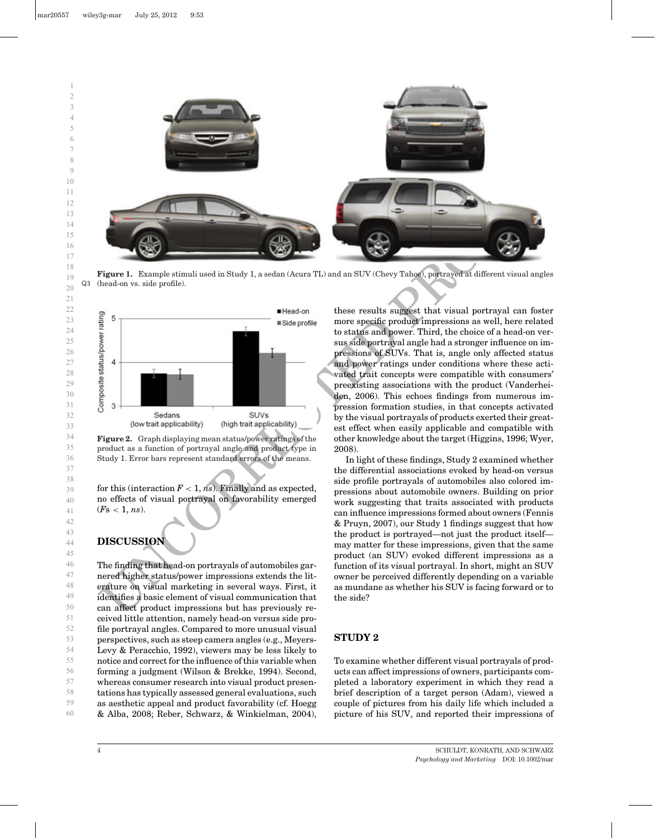

**Figure 1.** Example stimuli used in Study 1, a sedan (Acura TL) and an SUV (Chevy Tahoe), portrayed at different visual angles Q3 (head-on vs. side profile).



**Figure 2.** Graph displaying mean status/power ratings of the product as a function of portrayal angle and product type in Study 1. Error bars represent standard errors of the means.

for this (interaction  $F < 1$ , *ns*). Finally and as expected, no effects of visual portrayal on favorability emerged  $(Fs < 1, ns)$ .

# **DISCUSSION**

46 47 48 49 50 51 52 53 54 55 56 57 58 59 60 The finding that head-on portrayals of automobiles garnered higher status/power impressions extends the literature on visual marketing in several ways. First, it identifies a basic element of visual communication that can affect product impressions but has previously received little attention, namely head-on versus side profile portrayal angles. Compared to more unusual visual perspectives, such as steep camera angles (e.g., Meyers-Levy & Peracchio, 1992), viewers may be less likely to notice and correct for the influence of this variable when forming a judgment (Wilson & Brekke, 1994). Second, whereas consumer research into visual product presentations has typically assessed general evaluations, such as aesthetic appeal and product favorability (cf. Hoegg & Alba, 2008; Reber, Schwarz, & Winkielman, 2004),

these results suggest that visual portrayal can foster more specific product impressions as well, here related to status and power. Third, the choice of a head-on versus side portrayal angle had a stronger influence on impressions of SUVs. That is, angle only affected status and power ratings under conditions where these activated trait concepts were compatible with consumers' preexisting associations with the product (Vanderheiden, 2006). This echoes findings from numerous impression formation studies, in that concepts activated by the visual portrayals of products exerted their greatest effect when easily applicable and compatible with other knowledge about the target (Higgins, 1996; Wyer, 2008).

In light of these findings, Study 2 examined whether the differential associations evoked by head-on versus side profile portrayals of automobiles also colored impressions about automobile owners. Building on prior work suggesting that traits associated with products can influence impressions formed about owners (Fennis & Pruyn, 2007), our Study 1 findings suggest that how the product is portrayed—not just the product itself may matter for these impressions, given that the same product (an SUV) evoked different impressions as a function of its visual portrayal. In short, might an SUV owner be perceived differently depending on a variable as mundane as whether his SUV is facing forward or to the side?

# **STUDY 2**

To examine whether different visual portrayals of products can affect impressions of owners, participants completed a laboratory experiment in which they read a brief description of a target person (Adam), viewed a couple of pictures from his daily life which included a picture of his SUV, and reported their impressions of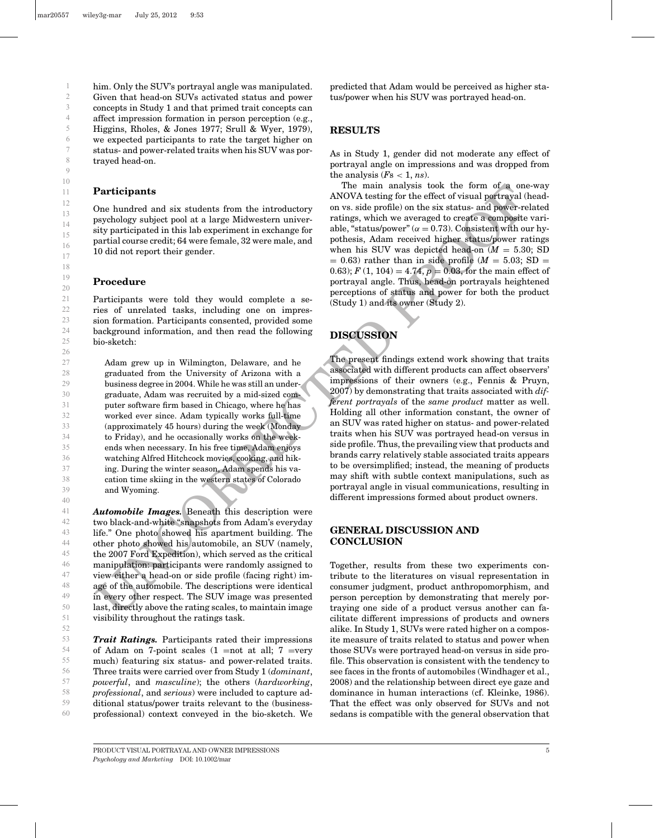him. Only the SUV's portrayal angle was manipulated. Given that head-on SUVs activated status and power concepts in Study 1 and that primed trait concepts can affect impression formation in person perception (e.g., Higgins, Rholes, & Jones 1977; Srull & Wyer, 1979), we expected participants to rate the target higher on status- and power-related traits when his SUV was portrayed head-on.

#### **Participants**

One hundred and six students from the introductory psychology subject pool at a large Midwestern university participated in this lab experiment in exchange for partial course credit; 64 were female, 32 were male, and 10 did not report their gender.

#### **Procedure**

Participants were told they would complete a series of unrelated tasks, including one on impression formation. Participants consented, provided some background information, and then read the following bio-sketch:

**Participants**<br> **Participants**<br> **Participants**<br> **Participants**<br> **DEVA** costing for the different of an one six students from the introductor<br>
DEVA costing for the different insurface and participants on the six students a Adam grew up in Wilmington, Delaware, and he graduated from the University of Arizona with a business degree in 2004. While he was still an undergraduate, Adam was recruited by a mid-sized computer software firm based in Chicago, where he has worked ever since. Adam typically works full-time (approximately 45 hours) during the week (Monday to Friday), and he occasionally works on the weekends when necessary. In his free time, Adam enjoys watching Alfred Hitchcock movies, cooking, and hiking. During the winter season, Adam spends his vacation time skiing in the western states of Colorado and Wyoming.

42 43 44 45 46 47 48 49 50 51 52 *Automobile Images.* Beneath this description were two black-and-white "snapshots from Adam's everyday life." One photo showed his apartment building. The other photo showed his automobile, an SUV (namely, the 2007 Ford Expedition), which served as the critical manipulation: participants were randomly assigned to view either a head-on or side profile (facing right) image of the automobile. The descriptions were identical in every other respect. The SUV image was presented last, directly above the rating scales, to maintain image visibility throughout the ratings task.

53 54 55 56 57 58 59 60 *Trait Ratings.* Participants rated their impressions of Adam on 7-point scales  $(1 = not at all; 7 = very$ much) featuring six status- and power-related traits. Three traits were carried over from Study 1 (*dominant*, *powerful*, and *masculine*); the others (*hardworking*, *professional*, and *serious*) were included to capture additional status/power traits relevant to the (businessprofessional) context conveyed in the bio-sketch. We predicted that Adam would be perceived as higher status/power when his SUV was portrayed head-on.

## **RESULTS**

As in Study 1, gender did not moderate any effect of portrayal angle on impressions and was dropped from the analysis  $(Fs < 1, ns)$ .

The main analysis took the form of a one-way ANOVA testing for the effect of visual portrayal (headon vs. side profile) on the six status- and power-related ratings, which we averaged to create a composite variable, "status/power" ( $\alpha = 0.73$ ). Consistent with our hypothesis, Adam received higher status/power ratings when his SUV was depicted head-on  $(M = 5.30; SD)$  $= 0.63$ ) rather than in side profile ( $M = 5.03$ ; SD  $=$ 0.63);  $F(1, 104) = 4.74$ ,  $p = 0.03$ , for the main effect of portrayal angle. Thus, head-on portrayals heightened perceptions of status and power for both the product (Study 1) and its owner (Study 2).

# **DISCUSSION**

The present findings extend work showing that traits associated with different products can affect observers' impressions of their owners (e.g., Fennis & Pruyn, 2007) by demonstrating that traits associated with *different portrayals* of the *same product* matter as well. Holding all other information constant, the owner of an SUV was rated higher on status- and power-related traits when his SUV was portrayed head-on versus in side profile. Thus, the prevailing view that products and brands carry relatively stable associated traits appears to be oversimplified; instead, the meaning of products may shift with subtle context manipulations, such as portrayal angle in visual communications, resulting in different impressions formed about product owners.

## **GENERAL DISCUSSION AND CONCLUSION**

Together, results from these two experiments contribute to the literatures on visual representation in consumer judgment, product anthropomorphism, and person perception by demonstrating that merely portraying one side of a product versus another can facilitate different impressions of products and owners alike. In Study 1, SUVs were rated higher on a composite measure of traits related to status and power when those SUVs were portrayed head-on versus in side profile. This observation is consistent with the tendency to see faces in the fronts of automobiles (Windhager et al., 2008) and the relationship between direct eye gaze and dominance in human interactions (cf. Kleinke, 1986). That the effect was only observed for SUVs and not sedans is compatible with the general observation that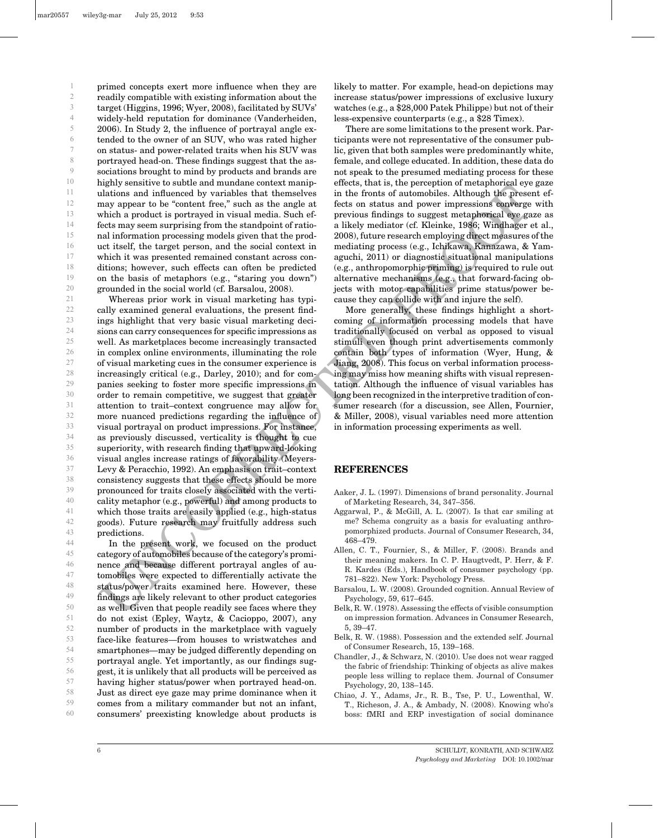1 2 3 4 5 6 7 8 9 10 11 12 13 14 15 16 17 18 19 20 primed concepts exert more influence when they are readily compatible with existing information about the target (Higgins, 1996; Wyer, 2008), facilitated by SUVs' widely-held reputation for dominance (Vanderheiden, 2006). In Study 2, the influence of portrayal angle extended to the owner of an SUV, who was rated higher on status- and power-related traits when his SUV was portrayed head-on. These findings suggest that the associations brought to mind by products and brands are highly sensitive to subtle and mundane context manipulations and influenced by variables that themselves may appear to be "content free," such as the angle at which a product is portrayed in visual media. Such effects may seem surprising from the standpoint of rational information processing models given that the product itself, the target person, and the social context in which it was presented remained constant across conditions; however, such effects can often be predicted on the basis of metaphors (e.g., "staring you down") grounded in the social world (cf. Barsalou, 2008).

21 22 23 24 25 26 27 28 29 30 31 32 33 34 35 36 37 38 39 40 41 42 43 may scantate to some both moniton the total samples in the control of the sole of the samples of the samples of the samples of the samples of the samples in the reaction for the samples in the reaction for the samples in Whereas prior work in visual marketing has typically examined general evaluations, the present findings highlight that very basic visual marketing decisions can carry consequences for specific impressions as well. As marketplaces become increasingly transacted in complex online environments, illuminating the role of visual marketing cues in the consumer experience is increasingly critical (e.g., Darley, 2010); and for companies seeking to foster more specific impressions in order to remain competitive, we suggest that greater attention to trait–context congruence may allow for more nuanced predictions regarding the influence of visual portrayal on product impressions. For instance, as previously discussed, verticality is thought to cue superiority, with research finding that upward-looking visual angles increase ratings of favorability (Meyers-Levy & Peracchio, 1992). An emphasis on trait–context consistency suggests that these effects should be more pronounced for traits closely associated with the verticality metaphor (e.g., powerful) and among products to which those traits are easily applied (e.g., high-status goods). Future research may fruitfully address such predictions.

44 45 46 47 48 49 50 51 52 53 54 55 56 57 58 59 60 In the present work, we focused on the product category of automobiles because of the category's prominence and because different portrayal angles of automobiles were expected to differentially activate the status/power traits examined here. However, these findings are likely relevant to other product categories as well. Given that people readily see faces where they do not exist (Epley, Waytz, & Cacioppo, 2007), any number of products in the marketplace with vaguely face-like features—from houses to wristwatches and smartphones—may be judged differently depending on portrayal angle. Yet importantly, as our findings suggest, it is unlikely that all products will be perceived as having higher status/power when portrayed head-on. Just as direct eye gaze may prime dominance when it comes from a military commander but not an infant, consumers' preexisting knowledge about products is

likely to matter. For example, head-on depictions may increase status/power impressions of exclusive luxury watches (e.g., a \$28,000 Patek Philippe) but not of their less-expensive counterparts (e.g., a \$28 Timex).

There are some limitations to the present work. Participants were not representative of the consumer public, given that both samples were predominantly white, female, and college educated. In addition, these data do not speak to the presumed mediating process for these effects, that is, the perception of metaphorical eye gaze in the fronts of automobiles. Although the present effects on status and power impressions converge with previous findings to suggest metaphorical eye gaze as a likely mediator (cf. Kleinke, 1986; Windhager et al., 2008), future research employing direct measures of the mediating process (e.g., Ichikawa, Kanazawa, & Yamaguchi, 2011) or diagnostic situational manipulations (e.g., anthropomorphic priming) is required to rule out alternative mechanisms (e.g., that forward-facing objects with motor capabilities prime status/power because they can collide with and injure the self).

More generally, these findings highlight a shortcoming of information processing models that have traditionally focused on verbal as opposed to visual stimuli even though print advertisements commonly contain both types of information (Wyer, Hung, & Jiang, 2008). This focus on verbal information processing may miss how meaning shifts with visual representation. Although the influence of visual variables has long been recognized in the interpretive tradition of consumer research (for a discussion, see Allen, Fournier, & Miller, 2008), visual variables need more attention in information processing experiments as well.

#### **REFERENCES**

- Aaker, J. L. (1997). Dimensions of brand personality. Journal of Marketing Research, 34, 347–356.
- Aggarwal, P., & McGill, A. L. (2007). Is that car smiling at me? Schema congruity as a basis for evaluating anthropomorphized products. Journal of Consumer Research, 34, 468–479.
- Allen, C. T., Fournier, S., & Miller, F. (2008). Brands and their meaning makers. In C. P. Haugtvedt, P. Herr, & F. R. Kardes (Eds.), Handbook of consumer psychology (pp. 781–822). New York: Psychology Press.
- Barsalou, L. W. (2008). Grounded cognition. Annual Review of Psychology, 59, 617–645.
- Belk, R. W. (1978). Assessing the effects of visible consumption on impression formation. Advances in Consumer Research, 5, 39–47.
- Belk, R. W. (1988). Possession and the extended self. Journal of Consumer Research, 15, 139–168.
- Chandler, J., & Schwarz, N. (2010). Use does not wear ragged the fabric of friendship: Thinking of objects as alive makes people less willing to replace them. Journal of Consumer Psychology, 20, 138–145.
- Chiao, J. Y., Adams, Jr., R. B., Tse, P. U., Lowenthal, W. T., Richeson, J. A., & Ambady, N. (2008). Knowing who's boss: fMRI and ERP investigation of social dominance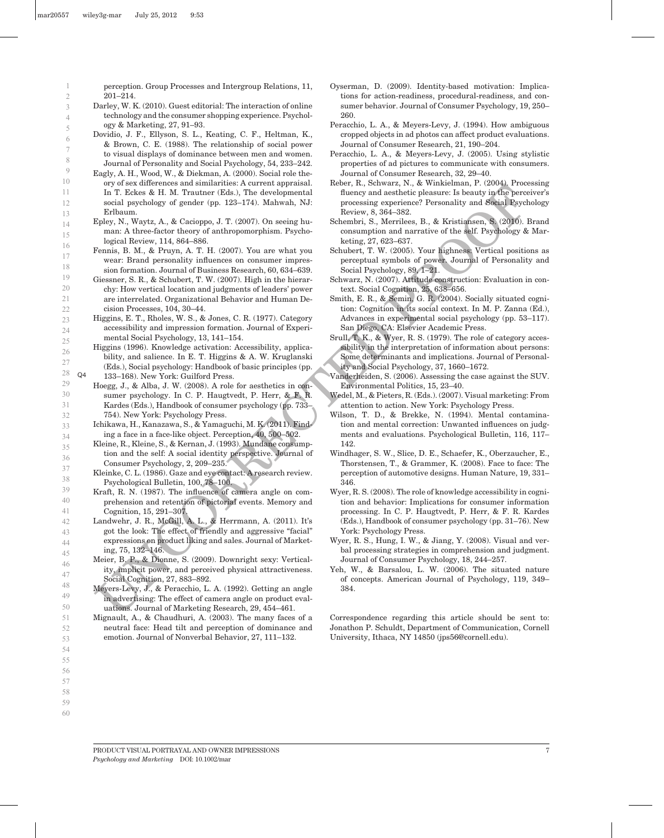|    | perception. Group Processes and Intergroup Relations, 11,<br>$201 - 214.$                                                | Oyserman, D. (2009). Identity-based motivation: Im<br>tions for action-readiness, procedural-readiness, and |
|----|--------------------------------------------------------------------------------------------------------------------------|-------------------------------------------------------------------------------------------------------------|
|    | Darley, W. K. (2010). Guest editorial: The interaction of online                                                         | sumer behavior. Journal of Consumer Psychology, 19,                                                         |
|    | technology and the consumer shopping experience. Psychol-                                                                | 260.                                                                                                        |
|    | ogy & Marketing, 27, 91–93.                                                                                              | Peracchio, L. A., & Meyers-Levy, J. (1994). How ambig                                                       |
|    | Dovidio, J. F., Ellyson, S. L., Keating, C. F., Heltman, K.,                                                             | cropped objects in ad photos can affect product evalua                                                      |
|    | & Brown, C. E. (1988). The relationship of social power                                                                  | Journal of Consumer Research, 21, 190-204.                                                                  |
|    | to visual displays of dominance between men and women.                                                                   | Peracchio, L. A., & Meyers-Levy, J. (2005). Using sty                                                       |
|    | Journal of Personality and Social Psychology, 54, 233-242.                                                               | properties of ad pictures to communicate with consu                                                         |
|    | Eagly, A. H., Wood, W., & Diekman, A. (2000). Social role the-                                                           | Journal of Consumer Research, 32, 29–40.                                                                    |
|    | ory of sex differences and similarities: A current appraisal.                                                            | Reber, R., Schwarz, N., & Winkielman, P. (2004). Proce                                                      |
|    | In T. Eckes & H. M. Trautner (Eds.), The developmental                                                                   | fluency and aesthetic pleasure: Is beauty in the perce                                                      |
|    | social psychology of gender (pp. 123–174). Mahwah, NJ:                                                                   | processing experience? Personality and Social Psych                                                         |
|    | Erlbaum.                                                                                                                 | Review, 8, 364-382.                                                                                         |
|    | Epley, N., Waytz, A., & Cacioppo, J. T. (2007). On seeing hu-                                                            | Schembri, S., Merrilees, B., & Kristiansen, S. (2010). I                                                    |
|    | man: A three-factor theory of anthropomorphism. Psycho-                                                                  | consumption and narrative of the self. Psychology &                                                         |
|    | logical Review, 114, 864-886.                                                                                            | keting, 27, 623–637.                                                                                        |
|    | Fennis, B. M., & Pruyn, A. T. H. (2007). You are what you                                                                | Schubert, T. W. (2005). Your highness: Vertical positio                                                     |
|    | wear: Brand personality influences on consumer impres-                                                                   | perceptual symbols of power. Journal of Personality                                                         |
|    | sion formation. Journal of Business Research, 60, 634–639.                                                               | Social Psychology, 89, 1-21.                                                                                |
|    | Giessner, S. R., & Schubert, T. W. (2007). High in the hierar-                                                           | Schwarz, N. (2007). Attitude construction: Evaluation in                                                    |
|    | chy: How vertical location and judgments of leaders' power                                                               | text. Social Cognition, 25, 638-656.                                                                        |
|    | are interrelated. Organizational Behavior and Human De-                                                                  | Smith, E. R., & Semin, G. R. (2004). Socially situated of                                                   |
|    | cision Processes, 104, 30-44.                                                                                            | tion: Cognition in its social context. In M. P. Zanna                                                       |
|    | Higgins, E. T., Rholes, W. S., & Jones, C. R. (1977). Category                                                           | Advances in experimental social psychology (pp. 53-                                                         |
|    | accessibility and impression formation. Journal of Experi-                                                               | San Diego, CA: Elsevier Academic Press.                                                                     |
|    | mental Social Psychology, 13, 141-154.                                                                                   | Srull, T. K., & Wyer, R. S. (1979). The role of category a                                                  |
|    | Higgins (1996). Knowledge activation: Accessibility, applica-                                                            | sibility in the interpretation of information about per                                                     |
|    | bility, and salience. In E. T. Higgins & A. W. Kruglanski                                                                | Some determinants and implications. Journal of Pers                                                         |
| Q4 | (Eds.), Social psychology: Handbook of basic principles (pp.                                                             | ity and Social Psychology, 37, 1660–1672.                                                                   |
|    | 133-168). New York: Guilford Press.                                                                                      | Vanderheiden, S. (2006). Assessing the case against the<br>Environmental Politics, 15, 23-40.               |
|    | Hoegg, J., & Alba, J. W. (2008). A role for aesthetics in con-<br>sumer psychology. In C. P. Haugtvedt, P. Herr, & F. R. | Wedel, M., & Pieters, R. (Eds.). (2007). Visual marketing:                                                  |
|    | Kardes (Eds.), Handbook of consumer psychology (pp. 733–                                                                 | attention to action. New York: Psychology Press.                                                            |
|    | 754). New York: Psychology Press.                                                                                        | Wilson, T. D., & Brekke, N. (1994). Mental contain                                                          |
|    | Ichikawa, H., Kanazawa, S., & Yamaguchi, M. K. (2011). Find-                                                             | tion and mental correction: Unwanted influences on                                                          |
|    | ing a face in a face-like object. Perception, 40, 500–502.                                                               | ments and evaluations. Psychological Bulletin, 116,                                                         |
|    | Kleine, R., Kleine, S., & Kernan, J. (1993). Mundane consump-                                                            | 142.                                                                                                        |
|    | tion and the self: A social identity perspective. Journal of                                                             | Windhager, S. W., Slice, D. E., Schaefer, K., Oberzauche                                                    |
|    | Consumer Psychology, 2, 209–235.                                                                                         | Thorstensen, T., & Grammer, K. (2008). Face to face                                                         |
|    | Kleinke, C. L. (1986). Gaze and eye contact: A research review.                                                          | perception of automotive designs. Human Nature, 19,                                                         |
|    | Psychological Bulletin, 100, 78-100.                                                                                     | 346.                                                                                                        |
|    | Kraft, R. N. (1987). The influence of camera angle on com-                                                               | Wyer, R. S. (2008). The role of knowledge accessibility in                                                  |
|    | prehension and retention of pictorial events. Memory and                                                                 | tion and behavior: Implications for consumer inform                                                         |
|    | Cognition, 15, 291-307.                                                                                                  | processing. In C. P. Haugtvedt, P. Herr, & F. R. K                                                          |
|    | Landwehr, J. R., McGill, A. L., & Herrmann, A. (2011). It's                                                              | (Eds.), Handbook of consumer psychology (pp. 31-76)                                                         |
|    | got the look: The effect of friendly and aggressive "facial"                                                             | York: Psychology Press.                                                                                     |
|    | expressions on product liking and sales. Journal of Market-                                                              | Wyer, R. S., Hung, I. W., & Jiang, Y. (2008). Visual and                                                    |
|    | ing, $75, 132 - 146$ .                                                                                                   | bal processing strategies in comprehension and judge                                                        |
|    | Meier, B. P., & Dionne, S. (2009). Downright sexy: Vertical-                                                             | Journal of Consumer Psychology, 18, 244-257.                                                                |
|    | ity, implicit power, and perceived physical attractiveness.                                                              | Yeh, W., & Barsalou, L. W. (2006). The situated n                                                           |
|    | Social Cognition, 27, 883-892.                                                                                           | of concepts. American Journal of Psychology, 119,                                                           |
|    | Meyers-Levy, J., & Peracchio, L. A. (1992). Getting an angle                                                             | 384.                                                                                                        |
|    | in advertising: The effect of camera angle on product eval-                                                              |                                                                                                             |
|    | uations. Journal of Marketing Research, 29, 454-461.                                                                     |                                                                                                             |
|    | Mignault, A., & Chaudhuri, A. (2003). The many faces of a<br>neutral face: Head tilt and perception of dominance and     | Correspondence regarding this article should be ser<br>Jonathon P. Schuldt, Department of Communication, Co |
|    | emotion. Journal of Nonverbal Behavior, 27, 111-132.                                                                     | University, Ithaca, NY 14850 (jps56@cornell.edu).                                                           |
|    |                                                                                                                          |                                                                                                             |
|    |                                                                                                                          |                                                                                                             |
|    |                                                                                                                          |                                                                                                             |

- Oyserman, D. (2009). Identity-based motivation: Implicafor action-readiness, procedural-readiness, and coner behavior. Journal of Consumer Psychology, 19, 250–
- io, L. A., & Meyers-Levy, J. (1994). How ambiguous bed objects in ad photos can affect product evaluations. nal of Consumer Research, 21, 190-204.
- io, L. A., & Meyers-Levy, J. (2005). Using stylistic erties of ad pictures to communicate with consumers. nal of Consumer Research, 32, 29-40.
- R., Schwarz, N., & Winkielman, P. (2004). Processing get are all aesthetic pleasure: Is beauty in the perceiver's essing experience? Personality and Social Psychology ew. 8, 364–382.
- ori, S., Merrilees, B., & Kristiansen, S. (2010). Brand amption and narrative of the self. Psychology & Marketing, 27, 623–637.
- rt, T. W. (2005). Your highness: Vertical positions as eptual symbols of power. Journal of Personality and al Psychology, 89, 1–21.
- z, N. (2007). Attitude construction: Evaluation in con-Social Cognition, 25, 638-656.
- E. R., & Semin, G. R. (2004). Socially situated cogni-Cognition in its social context. In M. P. Zanna (Ed.), ances in experimental social psychology (pp. 53–117). Diego, CA: Elsevier Academic Press.
- K., & Wyer, R. S. (1979). The role of category accesty in the interpretation of information about persons: e determinants and implications. Journal of Personalnd Social Psychology, 37, 1660–1672.
- heiden, S. (2006). Assessing the case against the SUV. ronmental Politics, 15, 23-40.
- M., & Pieters, R. (Eds.). (2007). Visual marketing: From ation to action. New York: Psychology Press.
- T. D., & Brekke, N. (1994). Mental contaminaand mental correction: Unwanted influences on judgts and evaluations. Psychological Bulletin, 116, 117–
- ger, S. W., Slice, D. E., Schaefer, K., Oberzaucher, E., stensen, T., & Grammer, K. (2008). Face to face: The eption of automotive designs. Human Nature, 19, 331–
- $\mathbb{R}$ . S. (2008). The role of knowledge accessibility in cogniand behavior: Implications for consumer information essing. In C. P. Haugtvedt, P. Herr, & F. R. Kardes .), Handbook of consumer psychology (pp. 31–76). New : Psychology Press.
- . S., Hung, I. W., & Jiang, Y. (2008). Visual and verbarocessing strategies in comprehension and judgment. nal of Consumer Psychology, 18, 244-257.
- ., & Barsalou, L. W. (2006). The situated nature ncepts. American Journal of Psychology, 119, 349-

ondence regarding this article should be sent to: Ion P. Schuldt, Department of Communication, Cornell sity, Ithaca, NY 14850 (jps56@cornell.edu).